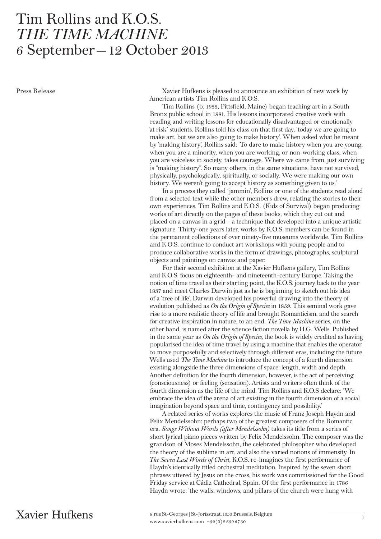## Tim Rollins and K.O.S. *THE TIME MACHINE* 6 September—12 October 2013

Press Release Xavier Hufkens is pleased to announce an exhibition of new work by American artists Tim Rollins and K.O.S.

> Tim Rollins (b. 1955, Pittsfield, Maine) began teaching art in a South Bronx public school in 1981. His lessons incorporated creative work with reading and writing lessons for educationally disadvantaged or emotionally 'at risk' students. Rollins told his class on that first day, 'today we are going to make art, but we are also going to make history'. When asked what he meant by 'making history', Rollins said: 'To dare to make history when you are young, when you are a minority, when you are working, or non-working class, when you are voiceless in society, takes courage. Where we came from, just surviving is "making history". So many others, in the same situations, have not survived, physically, psychologically, spiritually, or socially. We were making our own history. We weren't going to accept history as something given to us.'

> In a process they called 'jammin', Rollins or one of the students read aloud from a selected text while the other members drew, relating the stories to their own experiences. Tim Rollins and K.O.S. (Kids of Survival) began producing works of art directly on the pages of these books, which they cut out and placed on a canvas in a grid – a technique that developed into a unique artistic signature. Thirty-one years later, works by K.O.S. members can be found in the permanent collections of over ninety-five museums worldwide. Tim Rollins and K.O.S. continue to conduct art workshops with young people and to produce collaborative works in the form of drawings, photographs, sculptural objects and paintings on canvas and paper.

> For their second exhibition at the Xavier Hufkens gallery, Tim Rollins and K.O.S. focus on eighteenth- and nineteenth-century Europe. Taking the notion of time travel as their starting point, the K.O.S. journey back to the year 1837 and meet Charles Darwin just as he is beginning to sketch out his idea of a 'tree of life'. Darwin developed his powerful drawing into the theory of evolution published as *On the Origin of Species* in 1859. This seminal work gave rise to a more realistic theory of life and brought Romanticism, and the search for creative inspiration in nature, to an end. *The Time Machine* series, on the other hand, is named after the science fiction novella by H.G. Wells. Published in the same year as *On the Origin of Species,* the book is widely credited as having popularised the idea of time travel by using a machine that enables the operator to move purposefully and selectively through different eras, including the future. Wells used *The Time Machine* to introduce the concept of a fourth dimension existing alongside the three dimensions of space: length, width and depth. Another definition for the fourth dimension, however, is the act of perceiving (consciousness) or feeling (sensation). Artists and writers often think of the fourth dimension as the life of the mind. Tim Rollins and K.O.S declare: 'We embrace the idea of the arena of art existing in the fourth dimension of a social imagination beyond space and time, contingency and possibility.'

> A related series of works explores the music of Franz Joseph Haydn and Felix Mendelssohn: perhaps two of the greatest composers of the Romantic era. *Songs Without Words (after Mendelssohn)* takes its title from a series of short lyrical piano pieces written by Felix Mendelssohn. The composer was the grandson of Moses Mendelssohn, the celebrated philosopher who developed the theory of the sublime in art, and also the varied notions of immensity. In *The Seven Last Words of Christ,* K.O.S. re-imagines the first performance of Haydn's identically titled orchestral meditation. Inspired by the seven short phrases uttered by Jesus on the cross, his work was commissioned for the Good Friday service at Cádiz Cathedral, Spain. Of the first performance in 1786 Haydn wrote: 'the walls, windows, and pillars of the church were hung with

Xavier Hufkens